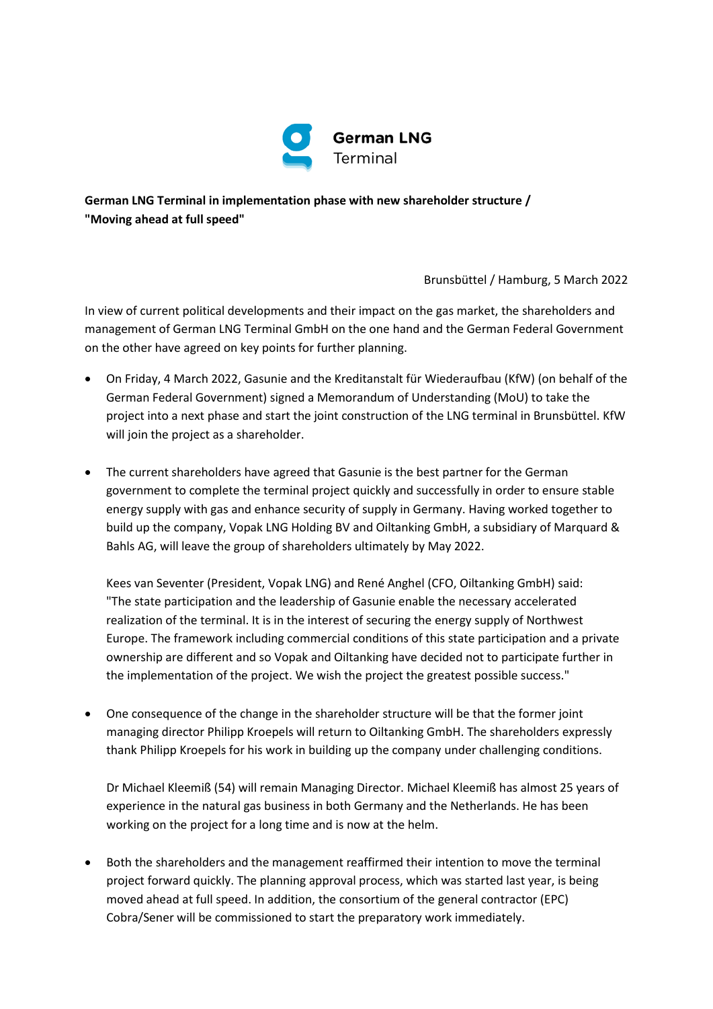

**German LNG Terminal in implementation phase with new shareholder structure / "Moving ahead at full speed"**

Brunsbüttel / Hamburg, 5 March 2022

In view of current political developments and their impact on the gas market, the shareholders and management of German LNG Terminal GmbH on the one hand and the German Federal Government on the other have agreed on key points for further planning.

- On Friday, 4 March 2022, Gasunie and the Kreditanstalt für Wiederaufbau (KfW) (on behalf of the German Federal Government) signed a Memorandum of Understanding (MoU) to take the project into a next phase and start the joint construction of the LNG terminal in Brunsbüttel. KfW will join the project as a shareholder.
- The current shareholders have agreed that Gasunie is the best partner for the German government to complete the terminal project quickly and successfully in order to ensure stable energy supply with gas and enhance security of supply in Germany. Having worked together to build up the company, Vopak LNG Holding BV and Oiltanking GmbH, a subsidiary of Marquard & Bahls AG, will leave the group of shareholders ultimately by May 2022.

Kees van Seventer (President, Vopak LNG) and René Anghel (CFO, Oiltanking GmbH) said: "The state participation and the leadership of Gasunie enable the necessary accelerated realization of the terminal. It is in the interest of securing the energy supply of Northwest Europe. The framework including commercial conditions of this state participation and a private ownership are different and so Vopak and Oiltanking have decided not to participate further in the implementation of the project. We wish the project the greatest possible success."

 One consequence of the change in the shareholder structure will be that the former joint managing director Philipp Kroepels will return to Oiltanking GmbH. The shareholders expressly thank Philipp Kroepels for his work in building up the company under challenging conditions.

Dr Michael Kleemiß (54) will remain Managing Director. Michael Kleemiß has almost 25 years of experience in the natural gas business in both Germany and the Netherlands. He has been working on the project for a long time and is now at the helm.

 Both the shareholders and the management reaffirmed their intention to move the terminal project forward quickly. The planning approval process, which was started last year, is being moved ahead at full speed. In addition, the consortium of the general contractor (EPC) Cobra/Sener will be commissioned to start the preparatory work immediately.